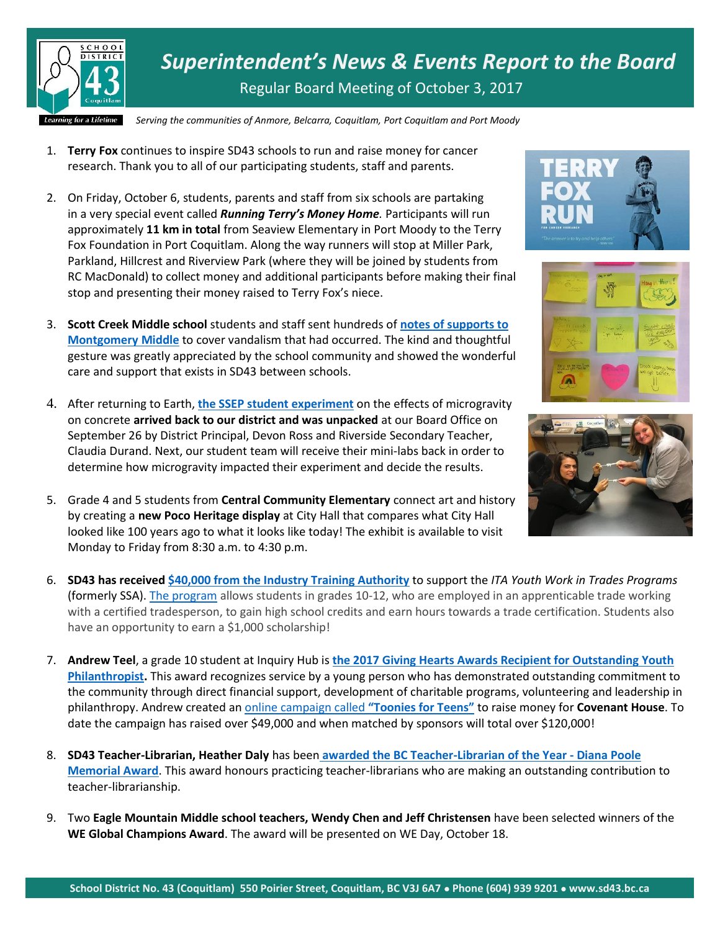

*Superintendent's News & Events Report to the Board* Regular Board Meeting of October 3, 2017

*Serving the communities of Anmore, Belcarra, Coquitlam, Port Coquitlam and Port Moody*

- 1. **Terry Fox** continues to inspire SD43 schools to run and raise money for cancer research. Thank you to all of our participating students, staff and parents.
- 2. On Friday, October 6, students, parents and staff from six schools are partaking in a very special event called *Running Terry's Money Home.* Participants will run approximately **11 km in total** from Seaview Elementary in Port Moody to the Terry Fox Foundation in Port Coquitlam. Along the way runners will stop at Miller Park, Parkland, Hillcrest and Riverview Park (where they will be joined by students from RC MacDonald) to collect money and additional participants before making their final stop and presenting their money raised to Terry Fox's niece.
- 3. **Scott Creek Middle school** students and staff sent hundreds of **[notes of supports to](http://www.tricitynews.com/news/positive-messages-from-one-coquitlam-school-to-another-after-vandals-strike-1.23023027)  [Montgomery](http://www.tricitynews.com/news/positive-messages-from-one-coquitlam-school-to-another-after-vandals-strike-1.23023027) Middle** to cover vandalism that had occurred. The kind and thoughtful gesture was greatly appreciated by the school community and showed the wonderful care and support that exists in SD43 between schools.
- 4. After returning to Earth, **[the SSEP student experiment](https://www.sd43.bc.ca/Pages/space.aspx)** on the effects of microgravity on concrete **arrived back to our district and was unpacked** at our Board Office on September 26 by District Principal, Devon Ross and Riverside Secondary Teacher, Claudia Durand. Next, our student team will receive their mini-labs back in order to determine how microgravity impacted their experiment and decide the results.
- 5. Grade 4 and 5 students from **Central Community Elementary** connect art and history by creating a **new Poco Heritage display** at City Hall that compares what City Hall looked like 100 years ago to what it looks like today! The exhibit is available to visit Monday to Friday from 8:30 a.m. to 4:30 p.m.
- 6. **SD43 has received [\\$40,000 from the Industry Training Authority](http://www.marketwired.com/press-release/bc-invests-trades-training-opportunities-through-high-school-apprenticeship-programs-2234899.htm)** to support the *ITA Youth Work in Trades Programs* (formerly SSA). [The program](http://www.sd43.bc.ca/CareerPrograms/Pages/SSA.aspx) allows students in grades 10-12, who are employed in an apprenticable trade working with a certified tradesperson, to gain high school credits and earn hours towards a trade certification. Students also have an opportunity to earn a \$1,000 scholarship!
- 7. **Andrew Teel**, a grade 10 student at Inquiry Hub is **[the 2017 Giving Hearts Awards Recipient for Outstanding Youth](https://www.afpvancouver.org/content/2017-giving-hearts-awards-nominees-and-recipients)  [Philanthropist.](https://www.afpvancouver.org/content/2017-giving-hearts-awards-nominees-and-recipients)** This award recognizes service by a young person who has demonstrated outstanding commitment to the community through direct financial support, development of charitable programs, volunteering and leadership in philanthropy. Andrew created an [online campaign called](http://support.covenanthousebc.org/site/TR?px=1111605&pg=personal&fr_id=1080) **"Toonies for Teens"** to raise money for **Covenant House**. To date the campaign has raised over \$49,000 and when matched by sponsors will total over \$120,000!
- 8. **SD43 Teacher-Librarian, Heather Daly** has been **[awarded the BC Teacher-Librarian of the Year -](http://bctf.ca/bctla/info/awards.html) Diana Poole [Memorial Award](http://bctf.ca/bctla/info/awards.html)**. This award honours practicing teacher-librarians who are making an outstanding contribution to teacher-librarianship.
- 9. Two **Eagle Mountain Middle school teachers, Wendy Chen and Jeff Christensen** have been selected winners of the **WE Global Champions Award**. The award will be presented on WE Day, October 18.